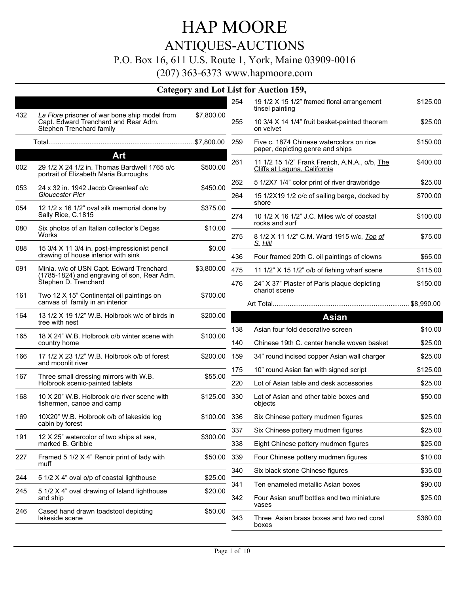## ANTIQUES-AUCTIONS

#### P.O. Box 16, 611 U.S. Route 1, York, Maine 03909-0016

|     |                                                                                                                   | <b>Category and Lot List for.</b> |       |                   |
|-----|-------------------------------------------------------------------------------------------------------------------|-----------------------------------|-------|-------------------|
|     |                                                                                                                   |                                   | 254   | 11<br>tir         |
| 432 | La Flore prisoner of war bone ship model from<br>Capt. Edward Trenchard and Rear Adm.<br>Stephen Trenchard family | \$7,800.00                        | 255   | 1<br>o            |
|     |                                                                                                                   |                                   | 259   | F<br>p            |
|     | Art                                                                                                               |                                   |       |                   |
| 002 | 29 1/2 X 24 1/2 in. Thomas Bardwell 1765 o/c<br>portrait of Elizabeth Maria Burroughs                             | \$500.00                          | 261   | $\mathbf{1}$<br>C |
| 053 | 24 x 32 in. 1942 Jacob Greenleaf o/c                                                                              | \$450.00                          | 262   | 5                 |
|     | Gloucester Pier                                                                                                   |                                   | 264   | 1!<br>sl          |
| 054 | 12 1/2 x 16 1/2" oval silk memorial done by<br>Sally Rice, C.1815                                                 | \$375.00                          | 274   | 1                 |
| 080 | Six photos of an Italian collector's Degas<br>Works                                                               | \$10.00                           |       | rc                |
|     |                                                                                                                   |                                   | 275   | 8<br>S            |
| 088 | 15 3/4 X 11 3/4 in. post-impressionist pencil<br>drawing of house interior with sink                              | \$0.00                            | 436   | F                 |
| 091 | Minia. w/c of USN Capt. Edward Trenchard                                                                          | \$3,800.00                        | 475   | $\mathbf{1}$      |
|     | (1785-1824) and engraving of son, Rear Adm.<br>Stephen D. Trenchard                                               |                                   | 476   | 2                 |
| 161 | Two 12 X 15" Continental oil paintings on                                                                         | \$700.00                          |       | cl                |
|     | canvas of family in an interior                                                                                   |                                   |       | Art `             |
| 164 | 13 1/2 X 19 1/2" W.B. Holbrook w/c of birds in<br>tree with nest                                                  | \$200.00                          | 138   | Α                 |
| 165 | 18 X 24" W.B. Holbrook o/b winter scene with<br>country home                                                      | \$100.00                          | 140   | C                 |
| 166 | 17 1/2 X 23 1/2" W.B. Holbrook o/b of forest<br>and moonlit river                                                 | \$200.00                          | 159   | 3.                |
| 167 | Three small dressing mirrors with W.B.                                                                            | \$55.00                           | 175   | 1                 |
|     | Holbrook scenic-painted tablets                                                                                   |                                   | 220   | L)                |
| 168 | 10 X 20" W.B. Holbrook o/c river scene with<br>fishermen, canoe and camp                                          | \$125.00                          | - 330 | L)<br>o           |
| 169 | 10X20" W.B. Holbrook o/b of lakeside log                                                                          | \$100.00                          | 336   | S                 |
|     | cabin by forest                                                                                                   |                                   | 337   | S                 |
| 191 | 12 X 25" watercolor of two ships at sea,<br>marked B. Gribble                                                     | \$300.00                          | 338   | Е                 |
| 227 | Framed 5 1/2 X 4" Renoir print of lady with<br>muff                                                               | \$50.00                           | 339   | F                 |
| 244 | 5 1/2 X 4" oval o/p of coastal lighthouse                                                                         | \$25.00                           | 340   | S                 |
| 245 | 5 1/2 X 4" oval drawing of Island lighthouse                                                                      | \$20.00                           | 341   | Т                 |
|     | and ship                                                                                                          |                                   | 342   | F<br>V            |
| 246 | Cased hand drawn toadstool depicting<br>lakeside scene                                                            | \$50.00                           | 343   | т                 |
|     |                                                                                                                   |                                   |       | b١                |

|     | ist for Auction 159,                                                          |            |
|-----|-------------------------------------------------------------------------------|------------|
| 254 | 19 1/2 X 15 1/2" framed floral arrangement<br>tinsel painting                 | \$125.00   |
| 255 | 10 3/4 X 14 1/4" fruit basket-painted theorem<br>on velvet                    | \$25.00    |
| 259 | Five c. 1874 Chinese watercolors on rice<br>paper, depicting genre and ships  | \$150.00   |
| 261 | 11 1/2 15 1/2" Frank French, A.N.A., o/b, The<br>Cliffs at Laguna, California | \$400.00   |
| 262 | 5 1/2X7 1/4" color print of river drawbridge                                  | \$25.00    |
| 264 | 15 1/2X19 1/2 o/c of sailing barge, docked by<br>shore                        | \$700.00   |
| 274 | 10 1/2 X 16 1/2" J.C. Miles w/c of coastal<br>rocks and surf                  | \$100.00   |
| 275 | 8 1/2 X 11 1/2" C.M. Ward 1915 w/c, Top of<br><u>S. Hill</u>                  | \$75.00    |
| 436 | Four framed 20th C. oil paintings of clowns                                   | \$65.00    |
| 475 | 11 1/2" X 15 1/2" o/b of fishing wharf scene                                  | \$115.00   |
| 476 | 24" X 37" Plaster of Paris plaque depicting<br>chariot scene                  | \$150.00   |
|     |                                                                               | \$8,990.00 |
|     | Asian                                                                         |            |

| 138 | Asian four fold decorative screen                   | \$10.00  |
|-----|-----------------------------------------------------|----------|
| 140 | Chinese 19th C. center handle woven basket          | \$25.00  |
| 159 | 34" round incised copper Asian wall charger         | \$25.00  |
| 175 | 10" round Asian fan with signed script              | \$125.00 |
| 220 | Lot of Asian table and desk accessories             | \$25.00  |
| 330 | Lot of Asian and other table boxes and<br>objects   | \$50.00  |
| 336 | Six Chinese pottery mudmen figures                  | \$25.00  |
| 337 | Six Chinese pottery mudmen figures                  | \$25.00  |
| 338 | Eight Chinese pottery mudmen figures                | \$25.00  |
| 339 | Four Chinese pottery mudmen figures                 | \$10.00  |
| 340 | Six black stone Chinese figures                     | \$35.00  |
| 341 | Ten enameled metallic Asian boxes                   | \$90.00  |
| 342 | Four Asian snuff bottles and two miniature<br>vases | \$25.00  |
| 343 | Three Asian brass boxes and two red coral<br>boxes  | \$360.00 |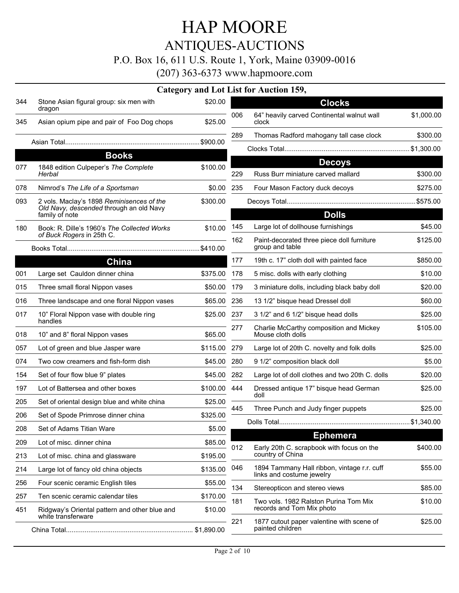## ANTIQUES-AUCTIONS

#### P.O. Box 16, 611 U.S. Route 1, York, Maine 03909-0016

|     |                                                                     |              |     | Category and Lot List for Auction 159,                                   |            |
|-----|---------------------------------------------------------------------|--------------|-----|--------------------------------------------------------------------------|------------|
| 344 | Stone Asian figural group: six men with<br>dragon                   | \$20.00      |     | <b>Clocks</b>                                                            |            |
| 345 | Asian opium pipe and pair of Foo Dog chops                          | \$25.00      | 006 | 64" heavily carved Continental walnut wall<br>clock                      | \$1,000.00 |
|     |                                                                     |              | 289 | Thomas Radford mahogany tall case clock                                  | \$300.00   |
|     |                                                                     | \$900.00     |     |                                                                          |            |
|     | <b>Books</b>                                                        |              |     | <b>Decoys</b>                                                            |            |
| 077 | 1848 edition Culpeper's The Complete<br>Herbal                      | \$100.00     | 229 | Russ Burr miniature carved mallard                                       | \$300.00   |
| 078 | Nimrod's The Life of a Sportsman                                    | \$0.00       | 235 | Four Mason Factory duck decoys                                           | \$275.00   |
| 093 | 2 vols. Maclay's 1898 Reminisences of the                           | \$300.00     |     |                                                                          |            |
|     | Old Navy, descended through an old Navy<br>family of note           |              |     | <b>Dolls</b>                                                             |            |
| 180 | Book: R. Dille's 1960's The Collected Works                         | \$10.00      | 145 | Large lot of dollhouse furnishings                                       | \$45.00    |
|     | of Buck Rogers in 25th C.                                           | \$410.00     | 162 | Paint-decorated three piece doll furniture<br>group and table            | \$125.00   |
|     | China                                                               |              | 177 | 19th c. 17" cloth doll with painted face                                 | \$850.00   |
| 001 | Large set Cauldon dinner china                                      | \$375.00     | 178 | 5 misc. dolls with early clothing                                        | \$10.00    |
| 015 | Three small floral Nippon vases                                     | \$50.00      | 179 | 3 miniature dolls, including black baby doll                             | \$20.00    |
| 016 | Three landscape and one floral Nippon vases                         | \$65.00      | 236 | 13 1/2" bisque head Dressel doll                                         | \$60.00    |
| 017 | 10" Floral Nippon vase with double ring<br>handles                  | \$25.00 237  |     | 3 1/2" and 6 1/2" bisque head dolls                                      | \$25.00    |
| 018 | 10" and 8" floral Nippon vases                                      | \$65.00      | 277 | Charlie McCarthy composition and Mickey<br>Mouse cloth dolls             | \$105.00   |
| 057 | Lot of green and blue Jasper ware                                   | \$115.00 279 |     | Large lot of 20th C. novelty and folk dolls                              | \$25.00    |
| 074 | Two cow creamers and fish-form dish                                 | \$45.00 280  |     | 9 1/2" composition black doll                                            | \$5.00     |
| 154 | Set of four flow blue 9" plates                                     | \$45.00 282  |     | Large lot of doll clothes and two 20th C. dolls                          | \$20.00    |
| 197 | Lot of Battersea and other boxes                                    | \$100.00 444 |     | Dressed antique 17" bisque head German<br>doll                           | \$25.00    |
| 205 | Set of oriental design blue and white china                         | \$25.00      | 445 | Three Punch and Judy finger puppets                                      | \$25.00    |
| 206 | Set of Spode Primrose dinner china                                  | \$325.00     |     |                                                                          |            |
| 208 | Set of Adams Titian Ware                                            | \$5.00       |     |                                                                          |            |
| 209 | Lot of misc. dinner china                                           | \$85.00      | 012 | <b>Ephemera</b><br>Early 20th C. scrapbook with focus on the             | \$400.00   |
| 213 | Lot of misc. china and glassware                                    | \$195.00     |     | country of China                                                         |            |
| 214 | Large lot of fancy old china objects                                | \$135.00     | 046 | 1894 Tammany Hall ribbon, vintage r.r. cuff<br>links and costume jewelry | \$55.00    |
| 256 | Four scenic ceramic English tiles                                   | \$55.00      | 134 | Stereopticon and stereo views                                            | \$85.00    |
| 257 | Ten scenic ceramic calendar tiles                                   | \$170.00     | 181 | Two vols. 1982 Ralston Purina Tom Mix                                    | \$10.00    |
| 451 | Ridgway's Oriental pattern and other blue and<br>white transferware | \$10.00      | 221 | records and Tom Mix photo                                                | \$25.00    |
|     |                                                                     |              |     | 1877 cutout paper valentine with scene of<br>painted children            |            |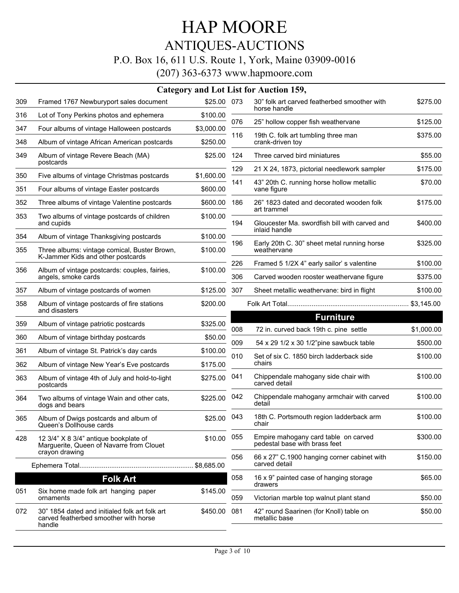#### HAP MOORE ANTIQUES-AUCTIONS P.O. Box 16, 611 U.S. Route 1, York, Maine 03909-0016 (207) 363-6373 www.hapmoore.com

|     |                                                                                                   |             |     | Category and Lot List for Auction 159,                                |            |
|-----|---------------------------------------------------------------------------------------------------|-------------|-----|-----------------------------------------------------------------------|------------|
| 309 | Framed 1767 Newburyport sales document                                                            | \$25.00 073 |     | 30" folk art carved featherbed smoother with<br>horse handle          | \$275.00   |
| 316 | Lot of Tony Perkins photos and ephemera                                                           | \$100.00    | 076 | 25" hollow copper fish weathervane                                    | \$125.00   |
| 347 | Four albums of vintage Halloween postcards                                                        | \$3,000.00  | 116 | 19th C. folk art tumbling three man                                   | \$375.00   |
| 348 | Album of vintage African American postcards                                                       | \$250.00    |     | crank-driven toy                                                      |            |
| 349 | Album of vintage Revere Beach (MA)<br>postcards                                                   | \$25.00     | 124 | Three carved bird miniatures                                          | \$55.00    |
| 350 | Five albums of vintage Christmas postcards                                                        | \$1,600.00  | 129 | 21 X 24, 1873, pictorial needlework sampler                           | \$175.00   |
| 351 | Four albums of vintage Easter postcards                                                           | \$600.00    | 141 | 43" 20th C. running horse hollow metallic<br>vane figure              | \$70.00    |
| 352 | Three albums of vintage Valentine postcards                                                       | \$600.00    | 186 | 26" 1823 dated and decorated wooden folk                              | \$175.00   |
| 353 | Two albums of vintage postcards of children<br>and cupids                                         | \$100.00    | 194 | art trammel<br>Gloucester Ma. swordfish bill with carved and          | \$400.00   |
| 354 | Album of vintage Thanksgiving postcards                                                           | \$100.00    |     | inlaid handle                                                         |            |
| 355 | Three albums: vintage comical, Buster Brown,<br>K-Jammer Kids and other postcards                 | \$100.00    | 196 | Early 20th C. 30" sheet metal running horse<br>weathervane            | \$325.00   |
| 356 | Album of vintage postcards: couples, fairies,                                                     | \$100.00    | 226 | Framed 5 1/2X 4" early sailor' s valentine                            | \$100.00   |
|     | angels, smoke cards                                                                               |             | 306 | Carved wooden rooster weathervane figure                              | \$375.00   |
| 357 | Album of vintage postcards of women                                                               | \$125.00    | 307 | Sheet metallic weathervane: bird in flight                            | \$100.00   |
| 358 | Album of vintage postcards of fire stations<br>and disasters                                      | \$200.00    |     |                                                                       |            |
| 359 | Album of vintage patriotic postcards                                                              | \$325.00    |     | <b>Furniture</b>                                                      |            |
| 360 | Album of vintage birthday postcards                                                               | \$50.00     | 008 | 72 in. curved back 19th c. pine settle                                | \$1,000.00 |
| 361 | Album of vintage St. Patrick's day cards                                                          | \$100.00    | 009 | 54 x 29 1/2 x 30 1/2"pine sawbuck table                               | \$500.00   |
| 362 | Album of vintage New Year's Eve postcards                                                         | \$175.00    | 010 | Set of six C. 1850 birch ladderback side<br>chairs                    | \$100.00   |
| 363 | Album of vintage 4th of July and hold-to-light<br>postcards                                       | \$275.00    | 041 | Chippendale mahogany side chair with<br>carved detail                 | \$100.00   |
| 364 | Two albums of vintage Wain and other cats,<br>dogs and bears                                      | \$225.00    | 042 | Chippendale mahogany armchair with carved<br>detail                   | \$100.00   |
| 365 | Album of Dwigs postcards and album of<br>Queen's Dollhouse cards                                  | \$25.00     | 043 | 18th C. Portsmouth region ladderback arm<br>chair                     | \$100.00   |
| 428 | 12 3/4" X 8 3/4" antique bookplate of<br>Marguerite, Queen of Navarre from Clouet                 | \$10.00     | 055 | Empire mahogany card table on carved<br>pedestal base with brass feet | \$300.00   |
|     | crayon drawing                                                                                    |             | 056 | 66 x 27" C.1900 hanging corner cabinet with<br>carved detail          | \$150.00   |
|     | <b>Folk Art</b>                                                                                   |             | 058 | 16 x 9" painted case of hanging storage<br>drawers                    | \$65.00    |
| 051 | Six home made folk art hanging paper<br>ornaments                                                 | \$145.00    | 059 | Victorian marble top walnut plant stand                               | \$50.00    |
| 072 | 30" 1854 dated and initialed folk art folk art<br>carved featherbed smoother with horse<br>handle | \$450.00    | 081 | 42" round Saarinen (for Knoll) table on<br>metallic base              | \$50.00    |
|     |                                                                                                   |             |     |                                                                       |            |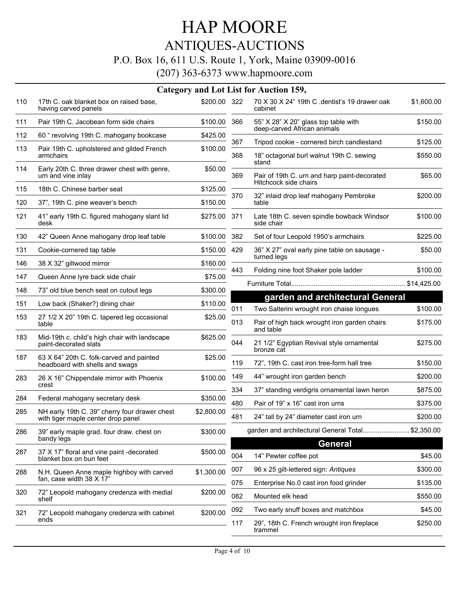#### ANTIQUES-AUCTIONS P.O. Box 16, 611 U.S. Route 1, York, Maine 03909-0016

|     |                                                                                     |              |            | Category and Lot List for Auction 159,                                                 |                      |
|-----|-------------------------------------------------------------------------------------|--------------|------------|----------------------------------------------------------------------------------------|----------------------|
| 110 | 17th C. oak blanket box on raised base,<br>having carved panels                     | \$200.00 322 |            | 70 X 30 X 24" 19th C .dentist's 19 drawer oak<br>cabinet                               | \$1,600.00           |
| 111 | Pair 19th C. Jacobean form side chairs                                              | \$100.00     | 366        | 55" X 28" X 20" glass top table with<br>deep-carved African animals                    | \$150.00             |
| 112 | 60 "revolving 19th C. mahogany bookcase                                             | \$425.00     |            |                                                                                        |                      |
| 113 | Pair 19th C. upholstered and gilded French<br>armchairs                             | \$100.00     | 367<br>368 | Tripod cookie - cornered birch candlestand<br>18" octagonal burl walnut 19th C. sewing | \$125.00<br>\$550.00 |
| 114 | Early 20th C. three drawer chest with genre,<br>urn and vine inlay                  | \$50.00      | 369        | stand<br>Pair of 19th C. urn and harp paint-decorated                                  | \$65.00              |
| 115 | 18th C. Chinese barber seat                                                         | \$125.00     |            | Hitchcock side chairs                                                                  |                      |
| 120 | 37", 19th C. pine weaver's bench                                                    | \$150.00     | 370        | 32" inlaid drop leaf mahogany Pembroke<br>table                                        | \$200.00             |
| 121 | 41" early 19th C. figured mahogany slant lid<br>desk                                | \$275.00 371 |            | Late 18th C. seven spindle bowback Windsor<br>side chair                               | \$100.00             |
| 130 | 42" Queen Anne mahogany drop leaf table                                             | \$100.00     | 382        | Set of four Leopold 1950's armchairs                                                   | \$225.00             |
| 131 | Cookie-cornered tap table                                                           | \$150.00     | 429        | 36" X 27" oval early pine table on sausage -                                           | \$50.00              |
| 146 | 38 X 32" giltwood mirror                                                            | \$160.00     |            | turned legs                                                                            |                      |
| 147 | Queen Anne lyre back side chair                                                     | \$75.00      | 443        | Folding nine foot Shaker pole ladder                                                   | \$100.00             |
| 148 | 73" old blue bench seat on cutout legs                                              | \$300.00     |            |                                                                                        | \$14,425.00          |
| 151 | Low back (Shaker?) dining chair                                                     | \$110.00     | 011        | garden and architectural General<br>Two Salterini wrought iron chaise longues          | \$100.00             |
| 153 | 27 1/2 X 20" 19th C. tapered leg occasional<br>table                                | \$25.00      | 013        | Pair of high back wrought iron garden chairs<br>and table                              | \$175.00             |
| 183 | Mid-19th c. child's high chair with landscape<br>paint-decorated slats              | \$625.00     | 044        | 21 1/2" Egyptian Revival style ornamental<br>bronze cat                                | \$275.00             |
| 187 | 63 X 64" 20th C. folk-carved and painted<br>headboard with shells and swags         | \$25.00      | 119        | 72", 19th C. cast iron tree-form hall tree                                             | \$150.00             |
| 283 | 26 X 16" Chippendale mirror with Phoenix                                            | \$100.00     | 149        | 44" wrought iron garden bench                                                          | \$200.00             |
|     | crest                                                                               |              | 334        | 37" standing verdigris ornamental lawn heron                                           | \$875.00             |
| 284 | Federal mahogany secretary desk                                                     | \$350.00     | 480        | Pair of 19" x 16" cast iron urns                                                       | \$375.00             |
| 285 | NH early 19th C. 39" cherry four drawer chest<br>with tiger maple center drop panel | \$2,800.00   | 481        | 24" tall by 24" diameter cast iron urn                                                 | \$200.00             |
| 286 | 39" early maple grad. four draw. chest on<br>bandy legs                             | \$300.00     |            | garden and architectural General Total \$2,350.00                                      |                      |
|     |                                                                                     |              |            | General                                                                                |                      |
| 287 | 37 X 17" floral and vine paint -decorated<br>blanket box on bun feet                | \$500.00     | 004        | 14" Pewter coffee pot                                                                  | \$45.00              |
| 288 | N.H. Queen Anne maple highboy with carved                                           | \$1,300.00   | 007        | 96 x 25 gilt-lettered sign: Antiques                                                   | \$300.00             |
|     | fan, case width 38 X 17"                                                            |              | 075        | Enterprise No.0 cast iron food grinder                                                 | \$135.00             |
| 320 | 72" Leopold mahogany credenza with medial<br>shelf                                  | \$200.00     | 082        | Mounted elk head                                                                       | \$550.00             |
| 321 | 72" Leopold mahogany credenza with cabinet                                          | \$200.00     | 092        | Two early snuff boxes and matchbox                                                     | \$45.00              |
|     | ends                                                                                |              | 117        | 29", 18th C. French wrought iron fireplace<br>trammel                                  | \$250.00             |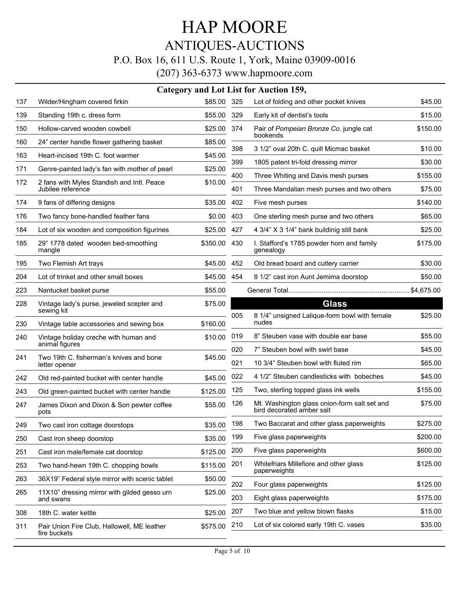## ANTIQUES-AUCTIONS

#### P.O. Box 16, 611 U.S. Route 1, York, Maine 03909-0016

|     |                                                                 |          |            | Category and Lot List for Auction 159,                                            |                     |
|-----|-----------------------------------------------------------------|----------|------------|-----------------------------------------------------------------------------------|---------------------|
| 137 | Wilder/Hingham covered firkin                                   | \$85.00  | 325        | Lot of folding and other pocket knives                                            | \$45.00             |
| 139 | Standing 19th c. dress form                                     | \$55.00  | 329        | Early kit of dentist's tools                                                      | \$15.00             |
| 150 | Hollow-carved wooden cowbell                                    | \$25.00  | 374        | Pair of Pompeian Bronze Co. jungle cat                                            | \$150.00            |
| 160 | 24" center handle flower gathering basket                       | \$85.00  |            | bookends                                                                          |                     |
| 163 | Heart-incised 19th C. foot warmer                               | \$45.00  | 398        | 3 1/2" oval 20th C. quill Micmac basket                                           | \$10.00             |
| 171 | Genre-painted lady's fan with mother of pearl                   | \$25.00  | 399        | 1805 patent tri-fold dressing mirror                                              | \$30.00             |
| 172 | 2 fans with Myles Standish and Intl. Peace<br>Jubilee reference | \$10.00  | 400<br>401 | Three Whiting and Davis mesh purses<br>Three Mandalian mesh purses and two others | \$155.00<br>\$75.00 |
| 174 | 9 fans of differing designs                                     | \$35.00  | 402        | Five mesh purses                                                                  | \$140.00            |
| 176 | Two fancy bone-handled feather fans                             | \$0.00   | 403        | One sterling mesh purse and two others                                            | \$65.00             |
| 184 | Lot of six wooden and composition figurines                     | \$25.00  | 427        | 4 3/4" X 3 1/4" bank buildinig still bank                                         | \$25.00             |
| 185 | 29" 1778 dated wooden bed-smoothing<br>mangle                   | \$350.00 | 430        | I. Stafford's 1785 powder horn and family<br>genealogy                            | \$175.00            |
| 195 | Two Flemish Art trays                                           | \$45.00  | 452        | Old bread board and cutlery carrier                                               | \$30.00             |
| 204 | Lot of trinket and other small boxes                            | \$45.00  | 454        | 8 1/2" cast iron Aunt Jemima doorstop                                             | \$50.00             |
| 223 | Nantucket basket purse                                          | \$55.00  |            |                                                                                   |                     |
| 228 | Vintage lady's purse, jeweled scepter and                       | \$75.00  |            | <b>Glass</b>                                                                      |                     |
| 230 | sewing kit<br>Vintage table accessories and sewing box          | \$160.00 | 005        | 8 1/4" unsigned Lalique-form bowl with female<br>nudes                            | \$25.00             |
| 240 | Vintage holiday creche with human and                           | \$10.00  | 019        | 8" Steuben vase with double ear base                                              | \$55.00             |
|     | animal figures                                                  |          | 020        | 7" Steuben bowl with swirl base                                                   | \$45.00             |
| 241 | Two 19th C. fisherman's knives and bone<br>letter opener        | \$45.00  | 021        | 10 3/4" Steuben bowl with fluted rim                                              | \$65.00             |
| 242 | Old red-painted bucket with center handle                       | \$45.00  | 022        | 4 1/2" Steuben candlesticks with bobeches                                         | \$45.00             |
| 243 | Old green-painted bucket with center handle                     | \$125.00 | 125        | Two, sterling topped glass ink wells                                              | \$155.00            |
| 247 | James Dixon and Dixon & Son pewter coffee<br>pots               | \$55.00  | 126        | Mt. Washington glass onion-form salt set and<br>bird decorated amber salt         | \$75.00             |
| 249 | Two cast iron cottage doorstops                                 | \$35.00  | 198        | Two Baccarat and other glass paperweights                                         | \$275.00            |
| 250 | Cast iron sheep doorstop                                        | \$35.00  | 199        | Five glass paperweights                                                           | \$200.00            |
| 251 | Cast iron male/female cat doorstop                              | \$125.00 | 200        | Five glass paperweights                                                           | \$600.00            |
| 253 | Two hand-hewn 19th C. chopping bowls                            | \$115.00 | 201        | Whitefriars Millefiore and other glass<br>paperweights                            | \$125.00            |
| 263 | 36X19" Federal style mirror with scenic tablet                  | \$50.00  | 202        | Four glass paperweights                                                           | \$125.00            |
| 265 | 11X10" dressing mirror with gilded gesso urn<br>and swans       | \$25.00  | 203        | Eight glass paperweights                                                          | \$175.00            |
| 308 | 18th C. water kettle                                            | \$25.00  | 207        | Two blue and yellow blown flasks                                                  | \$15.00             |
| 311 | Pair Union Fire Club, Hallowell, ME leather<br>fire buckets     | \$575.00 | 210        | Lot of six colored early 19th C. vases                                            | \$35.00             |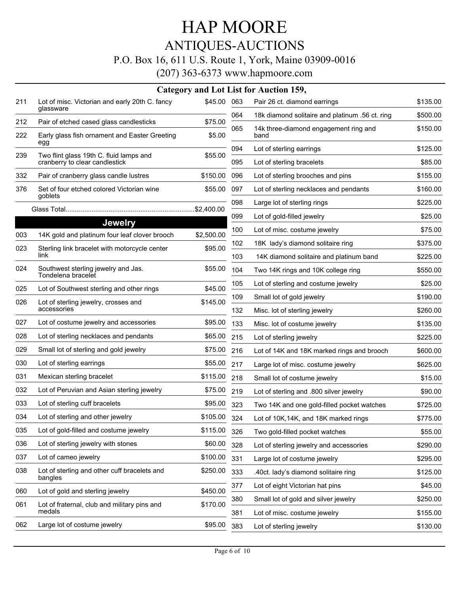## HAP MOORE ANTIQUES-AUCTIONS

#### P.O. Box 16, 611 U.S. Route 1, York, Maine 03909-0016

|            |                                                                                          |                   |     | Category and Lot List for Auction 159,          |          |
|------------|------------------------------------------------------------------------------------------|-------------------|-----|-------------------------------------------------|----------|
| 211        | Lot of misc. Victorian and early 20th C. fancy                                           | \$45.00 063       |     | Pair 26 ct. diamond earrings                    | \$135.00 |
|            | glassware                                                                                |                   | 064 | 18k diamond solitaire and platinum .56 ct. ring | \$500.00 |
| 212<br>222 | Pair of etched cased glass candlesticks<br>Early glass fish ornament and Easter Greeting | \$75.00<br>\$5.00 | 065 | 14k three-diamond engagement ring and<br>band   | \$150.00 |
| 239        | egg                                                                                      | \$55.00           | 094 | Lot of sterling earrings                        | \$125.00 |
|            | Two flint glass 19th C. fluid lamps and<br>cranberry to clear candlestick                |                   | 095 | Lot of sterling bracelets                       | \$85.00  |
| 332        | Pair of cranberry glass candle lustres                                                   | \$150.00          | 096 | Lot of sterling brooches and pins               | \$155.00 |
| 376        | Set of four etched colored Victorian wine                                                | \$55.00           | 097 | Lot of sterling necklaces and pendants          | \$160.00 |
|            | goblets                                                                                  |                   | 098 | Large lot of sterling rings                     | \$225.00 |
|            |                                                                                          |                   | 099 | Lot of gold-filled jewelry                      | \$25.00  |
| 003        | <b>Jewelry</b><br>14K gold and platinum four leaf clover brooch                          | \$2,500.00        | 100 | Lot of misc. costume jewelry                    | \$75.00  |
| 023        | Sterling link bracelet with motorcycle center                                            | \$95.00           | 102 | 18K lady's diamond solitaire ring               | \$375.00 |
|            | link                                                                                     |                   | 103 | 14K diamond solitaire and platinum band         | \$225.00 |
| 024        | Southwest sterling jewelry and Jas.<br>Tondelena bracelet                                | \$55.00           | 104 | Two 14K rings and 10K college ring              | \$550.00 |
| 025        | Lot of Southwest sterling and other rings                                                | \$45.00           | 105 | Lot of sterling and costume jewelry             | \$25.00  |
| 026        | Lot of sterling jewelry, crosses and                                                     | \$145.00          | 109 | Small lot of gold jewelry                       | \$190.00 |
|            | accessories                                                                              |                   | 132 | Misc. lot of sterling jewelry                   | \$260.00 |
| 027        | Lot of costume jewelry and accessories                                                   | \$95.00           | 133 | Misc. lot of costume jewelry                    | \$135.00 |
| 028        | Lot of sterling necklaces and pendants                                                   | \$65.00           | 215 | Lot of sterling jewelry                         | \$225.00 |
| 029        | Small lot of sterling and gold jewelry                                                   | \$75.00           | 216 | Lot of 14K and 18K marked rings and brooch      | \$600.00 |
| 030        | Lot of sterling earrings                                                                 | \$55.00           | 217 | Large lot of misc. costume jewelry              | \$625.00 |
| 031        | Mexican sterling bracelet                                                                | \$115.00          | 218 | Small lot of costume jewelry                    | \$15.00  |
| 032        | Lot of Peruvian and Asian sterling jewelry                                               | \$75.00           | 219 | Lot of sterling and .800 silver jewelry         | \$90.00  |
| 033        | Lot of sterling cuff bracelets                                                           | \$95.00           | 323 | Two 14K and one gold-filled pocket watches      | \$725.00 |
| 034        | Lot of sterling and other jewelry                                                        | \$105.00          | 324 | Lot of 10K, 14K, and 18K marked rings           | \$775.00 |
| 035        | Lot of gold-filled and costume jewelry                                                   | \$115.00          | 326 | Two gold-filled pocket watches                  | \$55.00  |
| 036        | Lot of sterling jewelry with stones                                                      | \$60.00           | 328 | Lot of sterling jewelry and accessories         | \$290.00 |
| 037        | Lot of cameo jewelry                                                                     | \$100.00          | 331 | Large lot of costume jewelry                    | \$295.00 |
| 038        | Lot of sterling and other cuff bracelets and<br>bangles                                  | \$250.00          | 333 | .40ct. lady's diamond solitaire ring            | \$125.00 |
| 060        | Lot of gold and sterling jewelry                                                         | \$450.00          | 377 | Lot of eight Victorian hat pins                 | \$45.00  |
| 061        | Lot of fraternal, club and military pins and                                             | \$170.00          | 380 | Small lot of gold and silver jewelry            | \$250.00 |
|            | medals                                                                                   |                   | 381 | Lot of misc. costume jewelry                    | \$155.00 |
| 062        | Large lot of costume jewelry                                                             | \$95.00           | 383 | Lot of sterling jewelry                         | \$130.00 |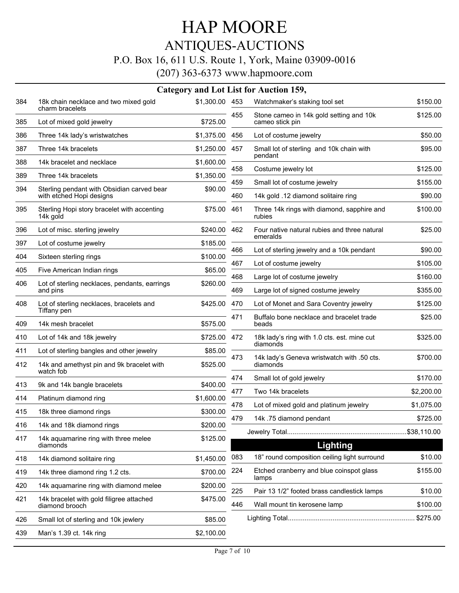## HAP MOORE ANTIQUES-AUCTIONS P.O. Box 16, 611 U.S. Route 1, York, Maine 03909-0016

|     |                                                                        |                |            | Category and Lot List for Auction 159,                              |                     |
|-----|------------------------------------------------------------------------|----------------|------------|---------------------------------------------------------------------|---------------------|
| 384 | 18k chain necklace and two mixed gold                                  | \$1,300.00 453 |            | Watchmaker's staking tool set                                       | \$150.00            |
| 385 | charm bracelets<br>Lot of mixed gold jewelry                           | \$725.00       | 455        | Stone cameo in 14k gold setting and 10k<br>cameo stick pin          | \$125.00            |
| 386 | Three 14k lady's wristwatches                                          | \$1,375.00     | 456        | Lot of costume jewelry                                              | \$50.00             |
| 387 | Three 14k bracelets                                                    | \$1,250.00     | 457        | Small lot of sterling and 10k chain with<br>pendant                 | \$95.00             |
| 388 | 14k bracelet and necklace                                              | \$1,600.00     | 458        | Costume jewelry lot                                                 | \$125.00            |
| 389 | Three 14k bracelets                                                    | \$1,350.00     |            |                                                                     |                     |
| 394 | Sterling pendant with Obsidian carved bear<br>with etched Hopi designs | \$90.00        | 459<br>460 | Small lot of costume jewelry<br>14k gold .12 diamond solitaire ring | \$155.00<br>\$90.00 |
| 395 | Sterling Hopi story bracelet with accenting<br>14k gold                | \$75.00        | 461        | Three 14k rings with diamond, sapphire and<br>rubies                | \$100.00            |
| 396 | Lot of misc. sterling jewelry                                          | \$240.00       | 462        | Four native natural rubies and three natural<br>emeralds            | \$25.00             |
| 397 | Lot of costume jewelry                                                 | \$185.00       |            |                                                                     |                     |
| 404 | Sixteen sterling rings                                                 | \$100.00       | 466        | Lot of sterling jewelry and a 10k pendant                           | \$90.00             |
| 405 | Five American Indian rings                                             | \$65.00        | 467        | Lot of costume jewelry                                              | \$105.00            |
| 406 | Lot of sterling necklaces, pendants, earrings                          | \$260.00       | 468        | Large lot of costume jewelry                                        | \$160.00            |
|     | and pins                                                               |                | 469        | Large lot of signed costume jewelry                                 | \$355.00            |
| 408 | Lot of sterling necklaces, bracelets and<br>Tiffany pen                | \$425.00       | 470        | Lot of Monet and Sara Coventry jewelry                              | \$125.00            |
| 409 | 14k mesh bracelet                                                      | \$575.00       | 471        | Buffalo bone necklace and bracelet trade<br>beads                   | \$25.00             |
| 410 | Lot of 14k and 18k jewelry                                             | \$725.00 472   |            | 18k lady's ring with 1.0 cts. est. mine cut                         | \$325.00            |
| 411 | Lot of sterling bangles and other jewelry                              | \$85.00        |            | diamonds                                                            |                     |
| 412 | 14k and amethyst pin and 9k bracelet with<br>watch fob                 | \$525.00       | 473        | 14k lady's Geneva wristwatch with .50 cts.<br>diamonds              | \$700.00            |
| 413 | 9k and 14k bangle bracelets                                            | \$400.00       | 474        | Small lot of gold jewelry                                           | \$170.00            |
|     |                                                                        |                | 477        | Two 14k bracelets                                                   | \$2,200.00          |
| 414 | Platinum diamond ring                                                  | \$1,600.00     | 478        | Lot of mixed gold and platinum jewelry                              | \$1,075.00          |
| 415 | 18k three diamond rings                                                | \$300.00       | 479        | 14k .75 diamond pendant                                             | \$725.00            |
| 416 | 14k and 18k diamond rings                                              | \$200.00       |            |                                                                     |                     |
| 417 | 14k aquamarine ring with three melee<br>diamonds                       | \$125.00       |            | Lighting                                                            |                     |
| 418 | 14k diamond solitaire ring                                             | \$1,450.00     | 083        | 18" round composition ceiling light surround                        | \$10.00             |
| 419 | 14k three diamond ring 1.2 cts.                                        | \$700.00       | 224        | Etched cranberry and blue coinspot glass<br>lamps                   | \$155.00            |
| 420 | 14k aquamarine ring with diamond melee                                 | \$200.00       | 225        | Pair 13 1/2" footed brass candlestick lamps                         | \$10.00             |
| 421 | 14k bracelet with gold filigree attached<br>diamond brooch             | \$475.00       | 446        | Wall mount tin kerosene lamp                                        | \$100.00            |
| 426 | Small lot of sterling and 10k jewlery                                  | \$85.00        |            |                                                                     |                     |
| 439 | Man's 1.39 ct. 14k ring                                                | \$2,100.00     |            |                                                                     |                     |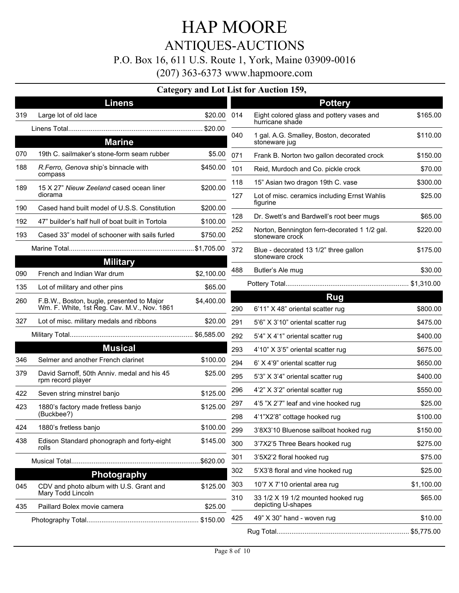### HAP MOORE ANTIQUES-AUCTIONS P.O. Box 16, 611 U.S. Route 1, York, Maine 03909-0016 (207) 363-6373 www.hapmoore.com

#### **Category and Lot List for Auction 159,**

|     | <b>Linens</b>                                                                            |            |     | <b>Pottery</b>                                                  |            |
|-----|------------------------------------------------------------------------------------------|------------|-----|-----------------------------------------------------------------|------------|
| 319 | Large lot of old lace                                                                    | \$20.00    | 014 | Eight colored glass and pottery vases and                       | \$165.00   |
|     |                                                                                          |            |     | hurricane shade                                                 |            |
|     | <b>Marine</b>                                                                            |            | 040 | 1 gal. A.G. Smalley, Boston, decorated<br>stoneware jug         | \$110.00   |
| 070 | 19th C. sailmaker's stone-form seam rubber                                               | \$5.00     | 071 | Frank B. Norton two gallon decorated crock                      | \$150.00   |
| 188 | R. Ferro, Genova ship's binnacle with<br>compass                                         | \$450.00   | 101 | Reid, Murdoch and Co. pickle crock                              | \$70.00    |
| 189 | 15 X 27" Nieuw Zeeland cased ocean liner                                                 | \$200.00   | 118 | 15" Asian two dragon 19th C. vase                               | \$300.00   |
|     | diorama                                                                                  |            | 127 | Lot of misc. ceramics including Ernst Wahlis                    | \$25.00    |
| 190 | Cased hand built model of U.S.S. Constitution                                            | \$200.00   |     | figurine                                                        |            |
| 192 | 47" builder's half hull of boat built in Tortola                                         | \$100.00   | 128 | Dr. Swett's and Bardwell's root beer mugs                       | \$65.00    |
| 193 | Cased 33" model of schooner with sails furled                                            | \$750.00   | 252 | Norton, Bennington fern-decorated 1 1/2 gal.<br>stoneware crock | \$220.00   |
|     |                                                                                          |            | 372 | Blue - decorated 13 1/2" three gallon<br>stoneware crock        | \$175.00   |
|     | <b>Military</b>                                                                          |            | 488 |                                                                 | \$30.00    |
| 090 | French and Indian War drum                                                               | \$2,100.00 |     | Butler's Ale mug                                                |            |
| 135 | Lot of military and other pins                                                           | \$65.00    |     |                                                                 |            |
| 260 | F.B.W., Boston, bugle, presented to Major<br>Wm. F. White, 1st Reg. Cav. M.V., Nov. 1861 | \$4,400.00 | 290 | <b>Rug</b><br>6'11" X 48" oriental scatter rug                  | \$800.00   |
| 327 | Lot of misc. military medals and ribbons                                                 | \$20.00    | 291 | 5'6" X 3'10" oriental scatter rug                               | \$475.00   |
|     |                                                                                          |            | 292 | 5'4" X 4'1" oriental scatter rug                                | \$400.00   |
|     | <b>Musical</b>                                                                           |            | 293 | 4'10" X 3'5" oriental scatter rug                               | \$675.00   |
| 346 | Selmer and another French clarinet                                                       | \$100.00   | 294 | 6' X 4'9" oriental scatter rug                                  | \$650.00   |
| 379 | David Sarnoff, 50th Anniv. medal and his 45<br>rpm record player                         | \$25.00    | 295 | 5'3" X 3'4" oriental scatter rug                                | \$400.00   |
| 422 | Seven string minstrel banjo                                                              | \$125.00   | 296 | 4'2" X 3'2" oriental scatter rug                                | \$550.00   |
| 423 | 1880's factory made fretless banjo                                                       | \$125.00   | 297 | 4'5 "X 2'7" leaf and vine hooked rug                            | \$25.00    |
|     | (Buckbee?)                                                                               |            | 298 | 4'1"X2'8" cottage hooked rug                                    | \$100.00   |
| 424 | 1880's fretless banjo                                                                    | \$100.00   | 299 | 3'8X3'10 Bluenose sailboat hooked rug                           | \$150.00   |
| 438 | Edison Standard phonograph and forty-eight<br>rolls                                      | \$145.00   | 300 | 3'7X2'5 Three Bears hooked rug                                  | \$275.00   |
|     |                                                                                          |            | 301 | 3'5X2'2 floral hooked rug                                       | \$75.00    |
|     |                                                                                          |            | 302 | 5'X3'8 floral and vine hooked rug                               | \$25.00    |
| 045 | <b>Photography</b><br>CDV and photo album with U.S. Grant and                            | \$125.00   | 303 | 10'7 X 7'10 oriental area rug                                   | \$1,100.00 |
|     | Mary Todd Lincoln                                                                        |            | 310 | 33 1/2 X 19 1/2 mounted hooked rug                              | \$65.00    |
| 435 | Paillard Bolex movie camera                                                              | \$25.00    |     | depicting U-shapes                                              |            |
|     |                                                                                          |            | 425 | 49" X 30" hand - woven rug                                      | \$10.00    |
|     |                                                                                          |            |     |                                                                 |            |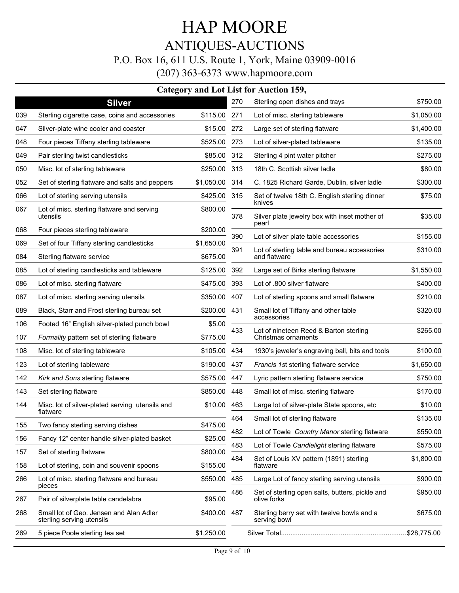### HAP MOORE ANTIQUES-AUCTIONS P.O. Box 16, 611 U.S. Route 1, York, Maine 03909-0016 (207) 363-6373 www.hapmoore.com

|     | <b>Category and Lot List for Auction 159,</b>                        |            |     |                                                                |            |  |  |  |
|-----|----------------------------------------------------------------------|------------|-----|----------------------------------------------------------------|------------|--|--|--|
|     | <b>Silver</b>                                                        |            | 270 | Sterling open dishes and trays                                 | \$750.00   |  |  |  |
| 039 | Sterling cigarette case, coins and accessories                       | \$115.00   | 271 | Lot of misc. sterling tableware                                | \$1,050.00 |  |  |  |
| 047 | Silver-plate wine cooler and coaster                                 | \$15.00    | 272 | Large set of sterling flatware                                 | \$1,400.00 |  |  |  |
| 048 | Four pieces Tiffany sterling tableware                               | \$525.00   | 273 | Lot of silver-plated tableware                                 | \$135.00   |  |  |  |
| 049 | Pair sterling twist candlesticks                                     | \$85.00    | 312 | Sterling 4 pint water pitcher                                  | \$275.00   |  |  |  |
| 050 | Misc. lot of sterling tableware                                      | \$250.00   | 313 | 18th C. Scottish silver ladle                                  | \$80.00    |  |  |  |
| 052 | Set of sterling flatware and salts and peppers                       | \$1,050.00 | 314 | C. 1825 Richard Garde, Dublin, silver ladle                    | \$300.00   |  |  |  |
| 066 | Lot of sterling serving utensils                                     | \$425.00   | 315 | Set of twelve 18th C. English sterling dinner                  | \$75.00    |  |  |  |
| 067 | Lot of misc. sterling flatware and serving<br>utensils               | \$800.00   | 378 | knives<br>Silver plate jewelry box with inset mother of        | \$35.00    |  |  |  |
| 068 | Four pieces sterling tableware                                       | \$200.00   |     | pearl                                                          |            |  |  |  |
| 069 | Set of four Tiffany sterling candlesticks                            | \$1,650.00 | 390 | Lot of silver plate table accessories                          | \$155.00   |  |  |  |
| 084 | Sterling flatware service                                            | \$675.00   | 391 | Lot of sterling table and bureau accessories<br>and flatware   | \$310.00   |  |  |  |
| 085 | Lot of sterling candlesticks and tableware                           | \$125.00   | 392 | Large set of Birks sterling flatware                           | \$1,550.00 |  |  |  |
| 086 | Lot of misc. sterling flatware                                       | \$475.00   | 393 | Lot of .800 silver flatware                                    | \$400.00   |  |  |  |
| 087 | Lot of misc. sterling serving utensils                               | \$350.00   | 407 | Lot of sterling spoons and small flatware                      | \$210.00   |  |  |  |
| 089 | Black, Starr and Frost sterling bureau set                           | \$200.00   | 431 | Small lot of Tiffany and other table                           | \$320.00   |  |  |  |
| 106 | Footed 16" English silver-plated punch bowl                          | \$5.00     |     | accessories                                                    |            |  |  |  |
| 107 | Formality pattern set of sterling flatware                           | \$775.00   | 433 | Lot of nineteen Reed & Barton sterling<br>Christmas ornaments  | \$265.00   |  |  |  |
| 108 | Misc. lot of sterling tableware                                      | \$105.00   | 434 | 1930's jeweler's engraving ball, bits and tools                | \$100.00   |  |  |  |
| 123 | Lot of sterling tableware                                            | \$190.00   | 437 | Francis 1st sterling flatware service                          | \$1,650.00 |  |  |  |
| 142 | Kirk and Sons sterling flatware                                      | \$575.00   | 447 | Lyric pattern sterling flatware service                        | \$750.00   |  |  |  |
| 143 | Set sterling flatware                                                | \$850.00   | 448 | Small lot of misc. sterling flatware                           | \$170.00   |  |  |  |
| 144 | Misc. lot of silver-plated serving utensils and                      | \$10.00    | 463 | Large lot of silver-plate State spoons, etc                    | \$10.00    |  |  |  |
|     | flatware                                                             |            | 464 | Small lot of sterling flatware                                 | \$135.00   |  |  |  |
| 155 | Two fancy sterling serving dishes                                    | \$475.00   | 482 | Lot of Towle Country Manor sterling flatware                   | \$550.00   |  |  |  |
| 156 | Fancy 12" center handle silver-plated basket                         | \$25.00    | 483 | Lot of Towle Candlelight sterling flatware                     | \$575.00   |  |  |  |
| 157 | Set of sterling flatware                                             | \$800.00   | 484 | Set of Louis XV pattern (1891) sterling                        | \$1,800.00 |  |  |  |
| 158 | Lot of sterling, coin and souvenir spoons                            | \$155.00   |     | flatware                                                       |            |  |  |  |
| 266 | Lot of misc. sterling flatware and bureau<br>pieces                  | \$550.00   | 485 | Large Lot of fancy sterling serving utensils                   | \$900.00   |  |  |  |
| 267 | Pair of silverplate table candelabra                                 | \$95.00    | 486 | Set of sterling open salts, butters, pickle and<br>olive forks | \$950.00   |  |  |  |
| 268 | Small lot of Geo. Jensen and Alan Adler<br>sterling serving utensils | \$400.00   | 487 | Sterling berry set with twelve bowls and a<br>serving bowl     | \$675.00   |  |  |  |
| 269 | 5 piece Poole sterling tea set                                       | \$1,250.00 |     |                                                                |            |  |  |  |
|     |                                                                      |            |     |                                                                |            |  |  |  |